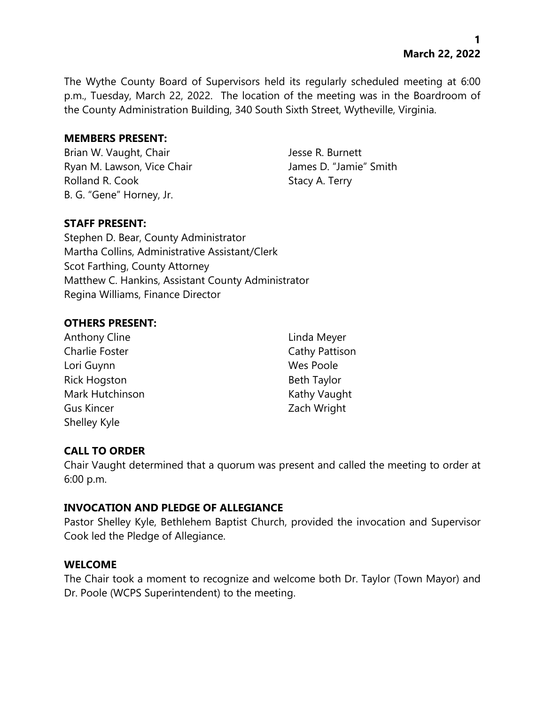The Wythe County Board of Supervisors held its regularly scheduled meeting at 6:00 p.m., Tuesday, March 22, 2022. The location of the meeting was in the Boardroom of the County Administration Building, 340 South Sixth Street, Wytheville, Virginia.

## **MEMBERS PRESENT:**

Brian W. Vaught, Chair Jesse R. Burnett Ryan M. Lawson, Vice Chair **James D. "Jamie"** Smith Rolland R. Cook Stacy A. Terry B. G. "Gene" Horney, Jr.

# **STAFF PRESENT:**

Stephen D. Bear, County Administrator Martha Collins, Administrative Assistant/Clerk Scot Farthing, County Attorney Matthew C. Hankins, Assistant County Administrator Regina Williams, Finance Director

# **OTHERS PRESENT:**

Anthony Cline **Linda Meyer** Charlie Foster Charlie Foster Cathy Pattison Lori Guynn Wes Poole Rick Hogston Beth Taylor Mark Hutchinson **Kathy Vaught** Kathy Vaught Gus Kincer Zach Wright Shelley Kyle

# **CALL TO ORDER**

Chair Vaught determined that a quorum was present and called the meeting to order at 6:00 p.m.

# **INVOCATION AND PLEDGE OF ALLEGIANCE**

Pastor Shelley Kyle, Bethlehem Baptist Church, provided the invocation and Supervisor Cook led the Pledge of Allegiance.

### **WELCOME**

The Chair took a moment to recognize and welcome both Dr. Taylor (Town Mayor) and Dr. Poole (WCPS Superintendent) to the meeting.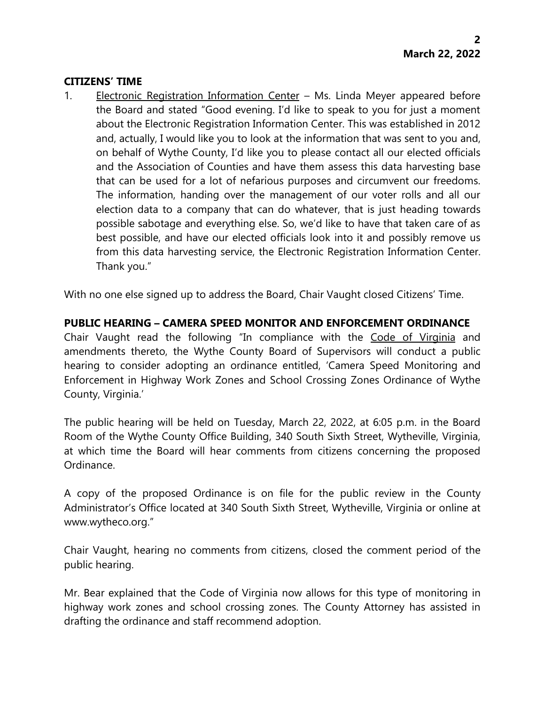### **CITIZENS' TIME**

1. Electronic Registration Information Center – Ms. Linda Meyer appeared before the Board and stated "Good evening. I'd like to speak to you for just a moment about the Electronic Registration Information Center. This was established in 2012 and, actually, I would like you to look at the information that was sent to you and, on behalf of Wythe County, I'd like you to please contact all our elected officials and the Association of Counties and have them assess this data harvesting base that can be used for a lot of nefarious purposes and circumvent our freedoms. The information, handing over the management of our voter rolls and all our election data to a company that can do whatever, that is just heading towards possible sabotage and everything else. So, we'd like to have that taken care of as best possible, and have our elected officials look into it and possibly remove us from this data harvesting service, the Electronic Registration Information Center. Thank you."

With no one else signed up to address the Board, Chair Vaught closed Citizens' Time.

# **PUBLIC HEARING – CAMERA SPEED MONITOR AND ENFORCEMENT ORDINANCE**

Chair Vaught read the following "In compliance with the Code of Virginia and amendments thereto, the Wythe County Board of Supervisors will conduct a public hearing to consider adopting an ordinance entitled, 'Camera Speed Monitoring and Enforcement in Highway Work Zones and School Crossing Zones Ordinance of Wythe County, Virginia.'

The public hearing will be held on Tuesday, March 22, 2022, at 6:05 p.m. in the Board Room of the Wythe County Office Building, 340 South Sixth Street, Wytheville, Virginia, at which time the Board will hear comments from citizens concerning the proposed Ordinance.

A copy of the proposed Ordinance is on file for the public review in the County Administrator's Office located at 340 South Sixth Street, Wytheville, Virginia or online at www.wytheco.org."

Chair Vaught, hearing no comments from citizens, closed the comment period of the public hearing.

Mr. Bear explained that the Code of Virginia now allows for this type of monitoring in highway work zones and school crossing zones. The County Attorney has assisted in drafting the ordinance and staff recommend adoption.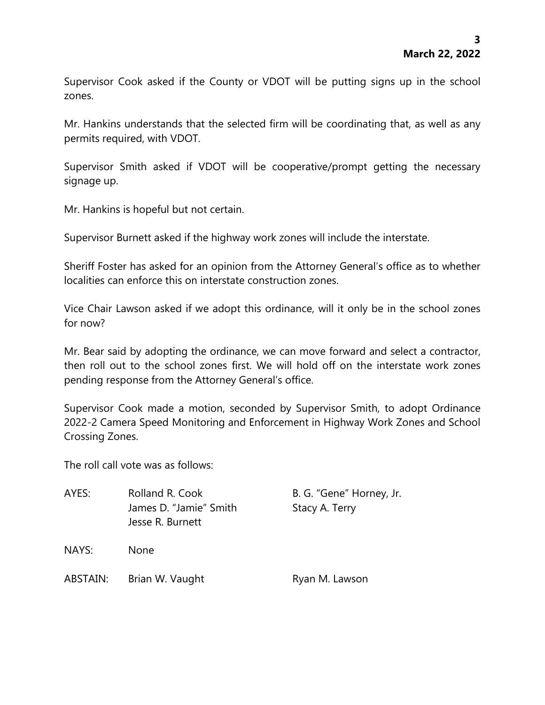Supervisor Cook asked if the County or VDOT will be putting signs up in the school zones.

Mr. Hankins understands that the selected firm will be coordinating that, as well as any permits required, with VDOT.

Supervisor Smith asked if VDOT will be cooperative/prompt getting the necessary signage up.

Mr. Hankins is hopeful but not certain.

Supervisor Burnett asked if the highway work zones will include the interstate.

Sheriff Foster has asked for an opinion from the Attorney General's office as to whether localities can enforce this on interstate construction zones.

Vice Chair Lawson asked if we adopt this ordinance, will it only be in the school zones for now?

Mr. Bear said by adopting the ordinance, we can move forward and select a contractor, then roll out to the school zones first. We will hold off on the interstate work zones pending response from the Attorney General's office.

Supervisor Cook made a motion, seconded by Supervisor Smith, to adopt Ordinance 2022-2 Camera Speed Monitoring and Enforcement in Highway Work Zones and School Crossing Zones.

The roll call vote was as follows:

| AYES:    | Rolland R. Cook        | B. G. "Gene" Horney, Jr. |
|----------|------------------------|--------------------------|
|          | James D. "Jamie" Smith | Stacy A. Terry           |
|          | Jesse R. Burnett       |                          |
| NAYS:    | <b>None</b>            |                          |
| ABSTAIN: | Brian W. Vaught        | Ryan M. Lawson           |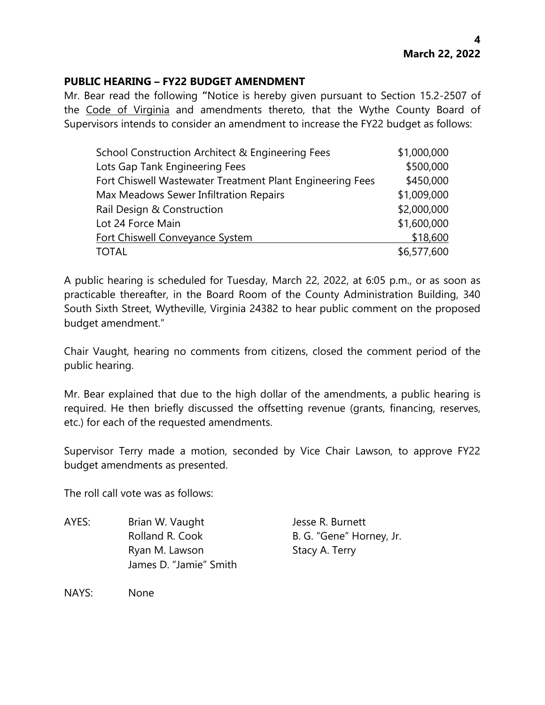## **PUBLIC HEARING – FY22 BUDGET AMENDMENT**

Mr. Bear read the following **"**Notice is hereby given pursuant to Section 15.2-2507 of the Code of Virginia and amendments thereto, that the Wythe County Board of Supervisors intends to consider an amendment to increase the FY22 budget as follows:

| School Construction Architect & Engineering Fees          | \$1,000,000 |
|-----------------------------------------------------------|-------------|
| Lots Gap Tank Engineering Fees                            | \$500,000   |
| Fort Chiswell Wastewater Treatment Plant Engineering Fees | \$450,000   |
| Max Meadows Sewer Infiltration Repairs                    | \$1,009,000 |
| Rail Design & Construction                                | \$2,000,000 |
| Lot 24 Force Main                                         | \$1,600,000 |
| Fort Chiswell Conveyance System                           | \$18,600    |
| <b>TOTAL</b>                                              | \$6,577,600 |

A public hearing is scheduled for Tuesday, March 22, 2022, at 6:05 p.m., or as soon as practicable thereafter, in the Board Room of the County Administration Building, 340 South Sixth Street, Wytheville, Virginia 24382 to hear public comment on the proposed budget amendment."

Chair Vaught, hearing no comments from citizens, closed the comment period of the public hearing.

Mr. Bear explained that due to the high dollar of the amendments, a public hearing is required. He then briefly discussed the offsetting revenue (grants, financing, reserves, etc.) for each of the requested amendments.

Supervisor Terry made a motion, seconded by Vice Chair Lawson, to approve FY22 budget amendments as presented.

The roll call vote was as follows:

AYES: Brian W. Vaught Jesse R. Burnett Rolland R. Cook B. G. "Gene" Horney, Jr. Ryan M. Lawson Stacy A. Terry James D. "Jamie" Smith

NAYS: None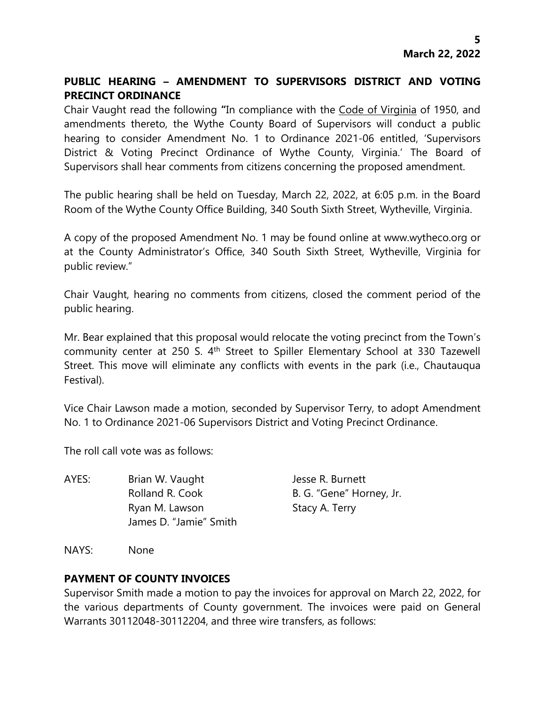# **PUBLIC HEARING – AMENDMENT TO SUPERVISORS DISTRICT AND VOTING PRECINCT ORDINANCE**

Chair Vaught read the following **"**In compliance with the Code of Virginia of 1950, and amendments thereto, the Wythe County Board of Supervisors will conduct a public hearing to consider Amendment No. 1 to Ordinance 2021-06 entitled, 'Supervisors District & Voting Precinct Ordinance of Wythe County, Virginia.' The Board of Supervisors shall hear comments from citizens concerning the proposed amendment.

The public hearing shall be held on Tuesday, March 22, 2022, at 6:05 p.m. in the Board Room of the Wythe County Office Building, 340 South Sixth Street, Wytheville, Virginia.

A copy of the proposed Amendment No. 1 may be found online at www.wytheco.org or at the County Administrator's Office, 340 South Sixth Street, Wytheville, Virginia for public review."

Chair Vaught, hearing no comments from citizens, closed the comment period of the public hearing.

Mr. Bear explained that this proposal would relocate the voting precinct from the Town's community center at 250 S. 4<sup>th</sup> Street to Spiller Elementary School at 330 Tazewell Street. This move will eliminate any conflicts with events in the park (i.e., Chautauqua Festival).

Vice Chair Lawson made a motion, seconded by Supervisor Terry, to adopt Amendment No. 1 to Ordinance 2021-06 Supervisors District and Voting Precinct Ordinance.

The roll call vote was as follows:

AYES: Brian W. Vaught Jesse R. Burnett Rolland R. Cook B. G. "Gene" Horney, Jr. Ryan M. Lawson Stacy A. Terry James D. "Jamie" Smith

NAYS: None

# **PAYMENT OF COUNTY INVOICES**

Supervisor Smith made a motion to pay the invoices for approval on March 22, 2022, for the various departments of County government. The invoices were paid on General Warrants 30112048-30112204, and three wire transfers, as follows: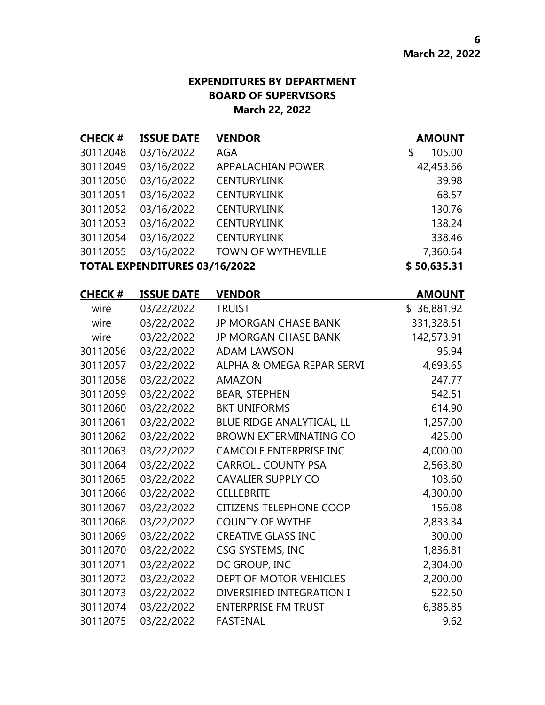# **EXPENDITURES BY DEPARTMENT BOARD OF SUPERVISORS March 22, 2022**

| <b>CHECK#</b> | <b>ISSUE DATE</b>             | <b>VENDOR</b>             | <b>AMOUNT</b> |
|---------------|-------------------------------|---------------------------|---------------|
| 30112048      | 03/16/2022                    | <b>AGA</b>                | 105.00<br>\$  |
| 30112049      | 03/16/2022                    | <b>APPALACHIAN POWER</b>  | 42,453.66     |
| 30112050      | 03/16/2022                    | <b>CENTURYLINK</b>        | 39.98         |
| 30112051      | 03/16/2022                    | <b>CENTURYLINK</b>        | 68.57         |
| 30112052      | 03/16/2022                    | <b>CENTURYLINK</b>        | 130.76        |
| 30112053      | 03/16/2022                    | <b>CENTURYLINK</b>        | 138.24        |
| 30112054      | 03/16/2022                    | <b>CENTURYLINK</b>        | 338.46        |
| 30112055      | 03/16/2022                    | <b>TOWN OF WYTHEVILLE</b> | 7,360.64      |
|               | TOTAL EXPENDITURES 03/16/2022 |                           | \$50,635.31   |

| <b>CHECK #</b> | <b>ISSUE DATE</b> | <b>VENDOR</b>                  | <b>AMOUNT</b> |
|----------------|-------------------|--------------------------------|---------------|
| wire           | 03/22/2022        | <b>TRUIST</b>                  | \$36,881.92   |
| wire           | 03/22/2022        | <b>JP MORGAN CHASE BANK</b>    | 331,328.51    |
| wire           | 03/22/2022        | <b>JP MORGAN CHASE BANK</b>    | 142,573.91    |
| 30112056       | 03/22/2022        | <b>ADAM LAWSON</b>             | 95.94         |
| 30112057       | 03/22/2022        | ALPHA & OMEGA REPAR SERVI      | 4,693.65      |
| 30112058       | 03/22/2022        | AMAZON                         | 247.77        |
| 30112059       | 03/22/2022        | <b>BEAR, STEPHEN</b>           | 542.51        |
| 30112060       | 03/22/2022        | <b>BKT UNIFORMS</b>            | 614.90        |
| 30112061       | 03/22/2022        | BLUE RIDGE ANALYTICAL, LL      | 1,257.00      |
| 30112062       | 03/22/2022        | <b>BROWN EXTERMINATING CO</b>  | 425.00        |
| 30112063       | 03/22/2022        | <b>CAMCOLE ENTERPRISE INC</b>  | 4,000.00      |
| 30112064       | 03/22/2022        | <b>CARROLL COUNTY PSA</b>      | 2,563.80      |
| 30112065       | 03/22/2022        | <b>CAVALIER SUPPLY CO</b>      | 103.60        |
| 30112066       | 03/22/2022        | <b>CELLEBRITE</b>              | 4,300.00      |
| 30112067       | 03/22/2022        | <b>CITIZENS TELEPHONE COOP</b> | 156.08        |
| 30112068       | 03/22/2022        | <b>COUNTY OF WYTHE</b>         | 2,833.34      |
| 30112069       | 03/22/2022        | <b>CREATIVE GLASS INC</b>      | 300.00        |
| 30112070       | 03/22/2022        | CSG SYSTEMS, INC               | 1,836.81      |
| 30112071       | 03/22/2022        | DC GROUP, INC                  | 2,304.00      |
| 30112072       | 03/22/2022        | DEPT OF MOTOR VEHICLES         | 2,200.00      |
| 30112073       | 03/22/2022        | DIVERSIFIED INTEGRATION I      | 522.50        |
| 30112074       | 03/22/2022        | <b>ENTERPRISE FM TRUST</b>     | 6,385.85      |
| 30112075       | 03/22/2022        | <b>FASTENAL</b>                | 9.62          |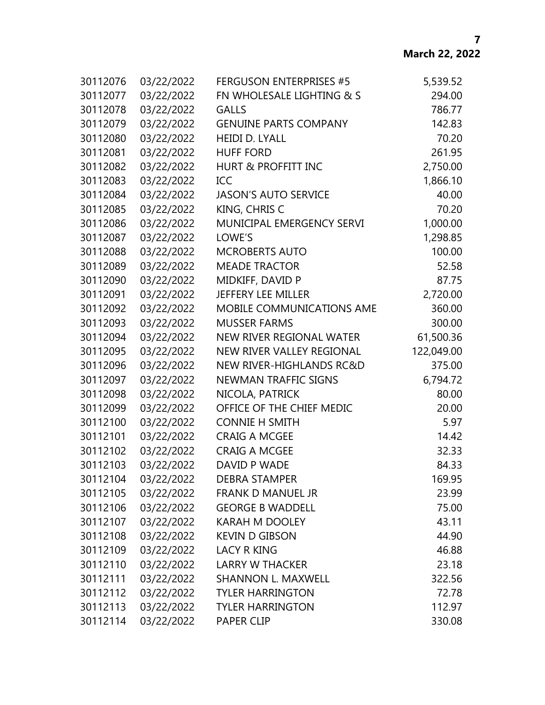| 30112076 | 03/22/2022 | <b>FERGUSON ENTERPRISES #5</b> | 5,539.52   |
|----------|------------|--------------------------------|------------|
| 30112077 | 03/22/2022 | FN WHOLESALE LIGHTING & S      | 294.00     |
| 30112078 | 03/22/2022 | <b>GALLS</b>                   | 786.77     |
| 30112079 | 03/22/2022 | <b>GENUINE PARTS COMPANY</b>   | 142.83     |
| 30112080 | 03/22/2022 | <b>HEIDI D. LYALL</b>          | 70.20      |
| 30112081 | 03/22/2022 | <b>HUFF FORD</b>               | 261.95     |
| 30112082 | 03/22/2022 | <b>HURT &amp; PROFFITT INC</b> | 2,750.00   |
| 30112083 | 03/22/2022 | ICC                            | 1,866.10   |
| 30112084 | 03/22/2022 | <b>JASON'S AUTO SERVICE</b>    | 40.00      |
| 30112085 | 03/22/2022 | KING, CHRIS C                  | 70.20      |
| 30112086 | 03/22/2022 | MUNICIPAL EMERGENCY SERVI      | 1,000.00   |
| 30112087 | 03/22/2022 | LOWE'S                         | 1,298.85   |
| 30112088 | 03/22/2022 | <b>MCROBERTS AUTO</b>          | 100.00     |
| 30112089 | 03/22/2022 | <b>MEADE TRACTOR</b>           | 52.58      |
| 30112090 | 03/22/2022 | MIDKIFF, DAVID P               | 87.75      |
| 30112091 | 03/22/2022 | <b>JEFFERY LEE MILLER</b>      | 2,720.00   |
| 30112092 | 03/22/2022 | MOBILE COMMUNICATIONS AME      | 360.00     |
| 30112093 | 03/22/2022 | <b>MUSSER FARMS</b>            | 300.00     |
| 30112094 | 03/22/2022 | NEW RIVER REGIONAL WATER       | 61,500.36  |
| 30112095 | 03/22/2022 | NEW RIVER VALLEY REGIONAL      | 122,049.00 |
| 30112096 | 03/22/2022 | NEW RIVER-HIGHLANDS RC&D       | 375.00     |
| 30112097 | 03/22/2022 | <b>NEWMAN TRAFFIC SIGNS</b>    | 6,794.72   |
| 30112098 | 03/22/2022 | NICOLA, PATRICK                | 80.00      |
| 30112099 | 03/22/2022 | OFFICE OF THE CHIEF MEDIC      | 20.00      |
| 30112100 | 03/22/2022 | <b>CONNIE H SMITH</b>          | 5.97       |
| 30112101 | 03/22/2022 | <b>CRAIG A MCGEE</b>           | 14.42      |
| 30112102 | 03/22/2022 | <b>CRAIG A MCGEE</b>           | 32.33      |
| 30112103 | 03/22/2022 | DAVID P WADE                   | 84.33      |
| 30112104 | 03/22/2022 | <b>DEBRA STAMPER</b>           | 169.95     |
| 30112105 | 03/22/2022 | FRANK D MANUEL JR              | 23.99      |
| 30112106 | 03/22/2022 | <b>GEORGE B WADDELL</b>        | 75.00      |
| 30112107 | 03/22/2022 | <b>KARAH M DOOLEY</b>          | 43.11      |
| 30112108 | 03/22/2022 | <b>KEVIN D GIBSON</b>          | 44.90      |
| 30112109 | 03/22/2022 | <b>LACY R KING</b>             | 46.88      |
| 30112110 | 03/22/2022 | <b>LARRY W THACKER</b>         | 23.18      |
| 30112111 | 03/22/2022 | <b>SHANNON L. MAXWELL</b>      | 322.56     |
| 30112112 | 03/22/2022 | <b>TYLER HARRINGTON</b>        | 72.78      |
| 30112113 | 03/22/2022 | <b>TYLER HARRINGTON</b>        | 112.97     |
| 30112114 | 03/22/2022 | <b>PAPER CLIP</b>              | 330.08     |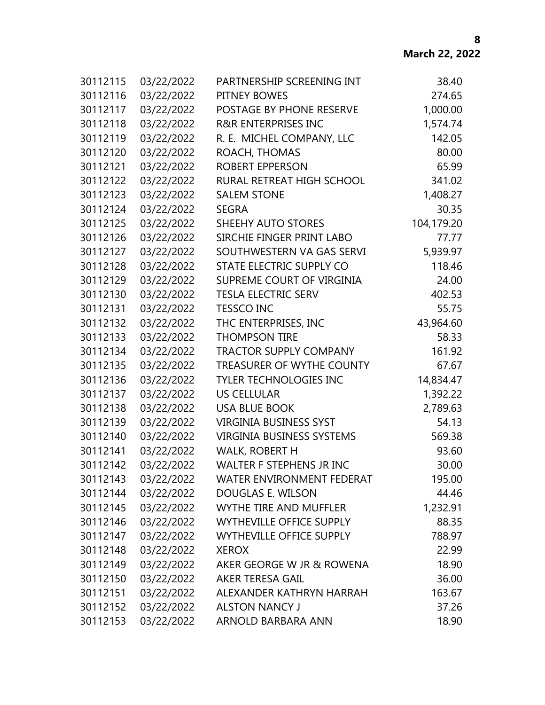| 30112115 | 03/22/2022 | PARTNERSHIP SCREENING INT        | 38.40      |
|----------|------------|----------------------------------|------------|
| 30112116 | 03/22/2022 | PITNEY BOWES                     | 274.65     |
| 30112117 | 03/22/2022 | POSTAGE BY PHONE RESERVE         | 1,000.00   |
| 30112118 | 03/22/2022 | <b>R&amp;R ENTERPRISES INC</b>   | 1,574.74   |
| 30112119 | 03/22/2022 | R. E. MICHEL COMPANY, LLC        | 142.05     |
| 30112120 | 03/22/2022 | ROACH, THOMAS                    | 80.00      |
| 30112121 | 03/22/2022 | ROBERT EPPERSON                  | 65.99      |
| 30112122 | 03/22/2022 | RURAL RETREAT HIGH SCHOOL        | 341.02     |
| 30112123 | 03/22/2022 | <b>SALEM STONE</b>               | 1,408.27   |
| 30112124 | 03/22/2022 | <b>SEGRA</b>                     | 30.35      |
| 30112125 | 03/22/2022 | SHEEHY AUTO STORES               | 104,179.20 |
| 30112126 | 03/22/2022 | SIRCHIE FINGER PRINT LABO        | 77.77      |
| 30112127 | 03/22/2022 | SOUTHWESTERN VA GAS SERVI        | 5,939.97   |
| 30112128 | 03/22/2022 | STATE ELECTRIC SUPPLY CO         | 118.46     |
| 30112129 | 03/22/2022 | SUPREME COURT OF VIRGINIA        | 24.00      |
| 30112130 | 03/22/2022 | <b>TESLA ELECTRIC SERV</b>       | 402.53     |
| 30112131 | 03/22/2022 | <b>TESSCO INC</b>                | 55.75      |
| 30112132 | 03/22/2022 | THC ENTERPRISES, INC             | 43,964.60  |
| 30112133 | 03/22/2022 | <b>THOMPSON TIRE</b>             | 58.33      |
| 30112134 | 03/22/2022 | <b>TRACTOR SUPPLY COMPANY</b>    | 161.92     |
| 30112135 | 03/22/2022 | TREASURER OF WYTHE COUNTY        | 67.67      |
| 30112136 | 03/22/2022 | <b>TYLER TECHNOLOGIES INC</b>    | 14,834.47  |
| 30112137 | 03/22/2022 | <b>US CELLULAR</b>               | 1,392.22   |
| 30112138 | 03/22/2022 | <b>USA BLUE BOOK</b>             | 2,789.63   |
| 30112139 | 03/22/2022 | <b>VIRGINIA BUSINESS SYST</b>    | 54.13      |
| 30112140 | 03/22/2022 | <b>VIRGINIA BUSINESS SYSTEMS</b> | 569.38     |
| 30112141 | 03/22/2022 | <b>WALK, ROBERT H</b>            | 93.60      |
| 30112142 | 03/22/2022 | <b>WALTER F STEPHENS JR INC</b>  | 30.00      |
| 30112143 | 03/22/2022 | WATER ENVIRONMENT FEDERAT        | 195.00     |
| 30112144 | 03/22/2022 | DOUGLAS E. WILSON                | 44.46      |
| 30112145 | 03/22/2022 | <b>WYTHE TIRE AND MUFFLER</b>    | 1,232.91   |
| 30112146 | 03/22/2022 | WYTHEVILLE OFFICE SUPPLY         | 88.35      |
| 30112147 | 03/22/2022 | WYTHEVILLE OFFICE SUPPLY         | 788.97     |
| 30112148 | 03/22/2022 | <b>XEROX</b>                     | 22.99      |
| 30112149 | 03/22/2022 | AKER GEORGE W JR & ROWENA        | 18.90      |
| 30112150 | 03/22/2022 | AKER TERESA GAIL                 | 36.00      |
| 30112151 | 03/22/2022 | ALEXANDER KATHRYN HARRAH         | 163.67     |
| 30112152 | 03/22/2022 | <b>ALSTON NANCY J</b>            | 37.26      |
| 30112153 | 03/22/2022 | ARNOLD BARBARA ANN               | 18.90      |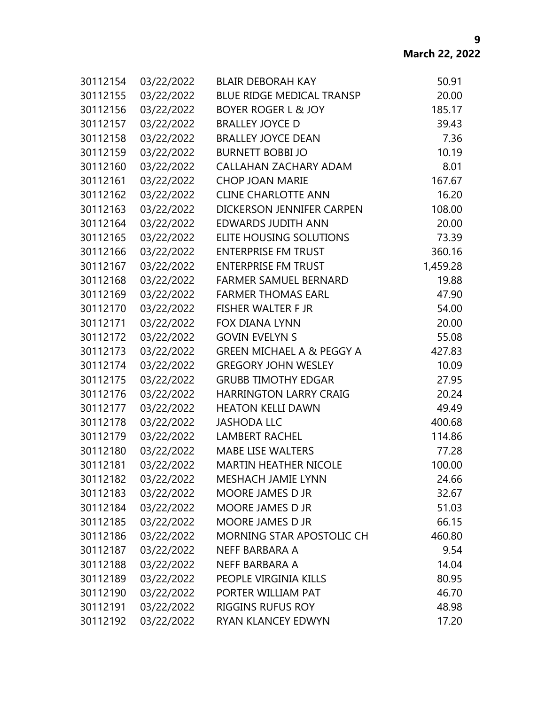| 30112154 | 03/22/2022 | <b>BLAIR DEBORAH KAY</b>             | 50.91    |
|----------|------------|--------------------------------------|----------|
| 30112155 | 03/22/2022 | <b>BLUE RIDGE MEDICAL TRANSP</b>     | 20.00    |
| 30112156 | 03/22/2022 | <b>BOYER ROGER L &amp; JOY</b>       | 185.17   |
| 30112157 | 03/22/2022 | <b>BRALLEY JOYCE D</b>               | 39.43    |
| 30112158 | 03/22/2022 | <b>BRALLEY JOYCE DEAN</b>            | 7.36     |
| 30112159 | 03/22/2022 | <b>BURNETT BOBBI JO</b>              | 10.19    |
| 30112160 | 03/22/2022 | CALLAHAN ZACHARY ADAM                | 8.01     |
| 30112161 | 03/22/2022 | <b>CHOP JOAN MARIE</b>               | 167.67   |
| 30112162 | 03/22/2022 | <b>CLINE CHARLOTTE ANN</b>           | 16.20    |
| 30112163 | 03/22/2022 | DICKERSON JENNIFER CARPEN            | 108.00   |
| 30112164 | 03/22/2022 | <b>EDWARDS JUDITH ANN</b>            | 20.00    |
| 30112165 | 03/22/2022 | ELITE HOUSING SOLUTIONS              | 73.39    |
| 30112166 | 03/22/2022 | <b>ENTERPRISE FM TRUST</b>           | 360.16   |
| 30112167 | 03/22/2022 | <b>ENTERPRISE FM TRUST</b>           | 1,459.28 |
| 30112168 | 03/22/2022 | <b>FARMER SAMUEL BERNARD</b>         | 19.88    |
| 30112169 | 03/22/2022 | <b>FARMER THOMAS EARL</b>            | 47.90    |
| 30112170 | 03/22/2022 | <b>FISHER WALTER F JR</b>            | 54.00    |
| 30112171 | 03/22/2022 | <b>FOX DIANA LYNN</b>                | 20.00    |
| 30112172 | 03/22/2022 | <b>GOVIN EVELYN S</b>                | 55.08    |
| 30112173 | 03/22/2022 | <b>GREEN MICHAEL A &amp; PEGGY A</b> | 427.83   |
| 30112174 | 03/22/2022 | <b>GREGORY JOHN WESLEY</b>           | 10.09    |
| 30112175 | 03/22/2022 | <b>GRUBB TIMOTHY EDGAR</b>           | 27.95    |
| 30112176 | 03/22/2022 | <b>HARRINGTON LARRY CRAIG</b>        | 20.24    |
| 30112177 | 03/22/2022 | <b>HEATON KELLI DAWN</b>             | 49.49    |
| 30112178 | 03/22/2022 | <b>JASHODA LLC</b>                   | 400.68   |
| 30112179 | 03/22/2022 | <b>LAMBERT RACHEL</b>                | 114.86   |
| 30112180 | 03/22/2022 | <b>MABE LISE WALTERS</b>             | 77.28    |
| 30112181 | 03/22/2022 | <b>MARTIN HEATHER NICOLE</b>         | 100.00   |
| 30112182 | 03/22/2022 | MESHACH JAMIE LYNN                   | 24.66    |
| 30112183 | 03/22/2022 | MOORE JAMES D JR                     | 32.67    |
| 30112184 | 03/22/2022 | <b>MOORE JAMES D JR</b>              | 51.03    |
| 30112185 | 03/22/2022 | <b>MOORE JAMES D JR</b>              | 66.15    |
| 30112186 | 03/22/2022 | MORNING STAR APOSTOLIC CH            | 460.80   |
| 30112187 | 03/22/2022 | NEFF BARBARA A                       | 9.54     |
| 30112188 | 03/22/2022 | NEFF BARBARA A                       | 14.04    |
| 30112189 | 03/22/2022 | PEOPLE VIRGINIA KILLS                | 80.95    |
| 30112190 | 03/22/2022 | PORTER WILLIAM PAT                   | 46.70    |
| 30112191 | 03/22/2022 | <b>RIGGINS RUFUS ROY</b>             | 48.98    |
| 30112192 | 03/22/2022 | RYAN KLANCEY EDWYN                   | 17.20    |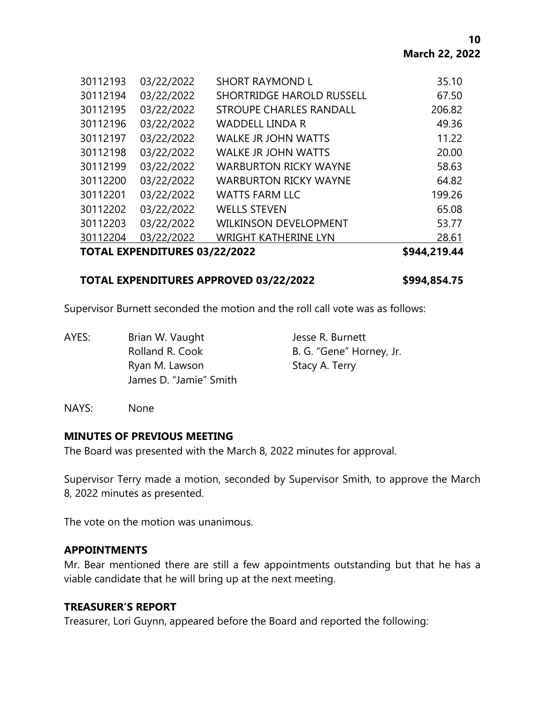| 30112193 | 03/22/2022                           | <b>SHORT RAYMOND L</b>           | 35.10  |
|----------|--------------------------------------|----------------------------------|--------|
| 30112194 | 03/22/2022                           | <b>SHORTRIDGE HAROLD RUSSELL</b> | 67.50  |
| 30112195 | 03/22/2022                           | <b>STROUPE CHARLES RANDALL</b>   | 206.82 |
| 30112196 | 03/22/2022                           | <b>WADDELL LINDA R</b>           | 49.36  |
| 30112197 | 03/22/2022                           | <b>WALKE JR JOHN WATTS</b>       | 11.22  |
| 30112198 | 03/22/2022                           | <b>WALKE JR JOHN WATTS</b>       | 20.00  |
| 30112199 | 03/22/2022                           | <b>WARBURTON RICKY WAYNE</b>     | 58.63  |
| 30112200 | 03/22/2022                           | <b>WARBURTON RICKY WAYNE</b>     | 64.82  |
| 30112201 | 03/22/2022                           | <b>WATTS FARM LLC</b>            | 199.26 |
| 30112202 | 03/22/2022                           | <b>WELLS STEVEN</b>              | 65.08  |
| 30112203 | 03/22/2022                           | <b>WILKINSON DEVELOPMENT</b>     | 53.77  |
| 30112204 | 03/22/2022                           | <b>WRIGHT KATHERINE LYN</b>      | 28.61  |
|          | <b>TOTAL EXPENDITURES 03/22/2022</b> |                                  |        |

# **TOTAL EXPENDITURES APPROVED 03/22/2022 \$994,854.75**

Supervisor Burnett seconded the motion and the roll call vote was as follows:

AYES: Brian W. Vaught Jesse R. Burnett Rolland R. Cook B. G. "Gene" Horney, Jr. Ryan M. Lawson Stacy A. Terry James D. "Jamie" Smith

NAYS: None

### **MINUTES OF PREVIOUS MEETING**

The Board was presented with the March 8, 2022 minutes for approval.

Supervisor Terry made a motion, seconded by Supervisor Smith, to approve the March 8, 2022 minutes as presented.

The vote on the motion was unanimous.

### **APPOINTMENTS**

Mr. Bear mentioned there are still a few appointments outstanding but that he has a viable candidate that he will bring up at the next meeting.

# **TREASURER'S REPORT**

Treasurer, Lori Guynn, appeared before the Board and reported the following: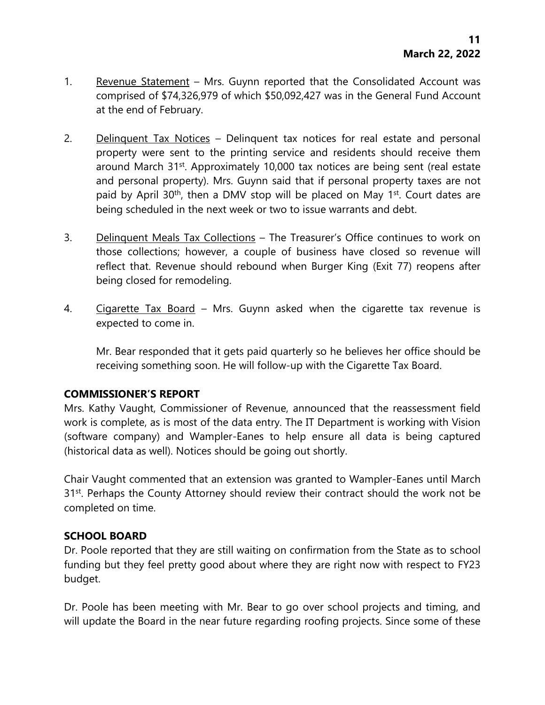- 1. Revenue Statement Mrs. Guynn reported that the Consolidated Account was comprised of \$74,326,979 of which \$50,092,427 was in the General Fund Account at the end of February.
- 2. Delinquent Tax Notices Delinquent tax notices for real estate and personal property were sent to the printing service and residents should receive them around March 31<sup>st</sup>. Approximately 10,000 tax notices are being sent (real estate and personal property). Mrs. Guynn said that if personal property taxes are not paid by April 30<sup>th</sup>, then a DMV stop will be placed on May 1<sup>st</sup>. Court dates are being scheduled in the next week or two to issue warrants and debt.
- 3. Delinquent Meals Tax Collections The Treasurer's Office continues to work on those collections; however, a couple of business have closed so revenue will reflect that. Revenue should rebound when Burger King (Exit 77) reopens after being closed for remodeling.
- 4. Cigarette Tax Board Mrs. Guynn asked when the cigarette tax revenue is expected to come in.

Mr. Bear responded that it gets paid quarterly so he believes her office should be receiving something soon. He will follow-up with the Cigarette Tax Board.

# **COMMISSIONER'S REPORT**

Mrs. Kathy Vaught, Commissioner of Revenue, announced that the reassessment field work is complete, as is most of the data entry. The IT Department is working with Vision (software company) and Wampler-Eanes to help ensure all data is being captured (historical data as well). Notices should be going out shortly.

Chair Vaught commented that an extension was granted to Wampler-Eanes until March 31<sup>st</sup>. Perhaps the County Attorney should review their contract should the work not be completed on time.

### **SCHOOL BOARD**

Dr. Poole reported that they are still waiting on confirmation from the State as to school funding but they feel pretty good about where they are right now with respect to FY23 budget.

Dr. Poole has been meeting with Mr. Bear to go over school projects and timing, and will update the Board in the near future regarding roofing projects. Since some of these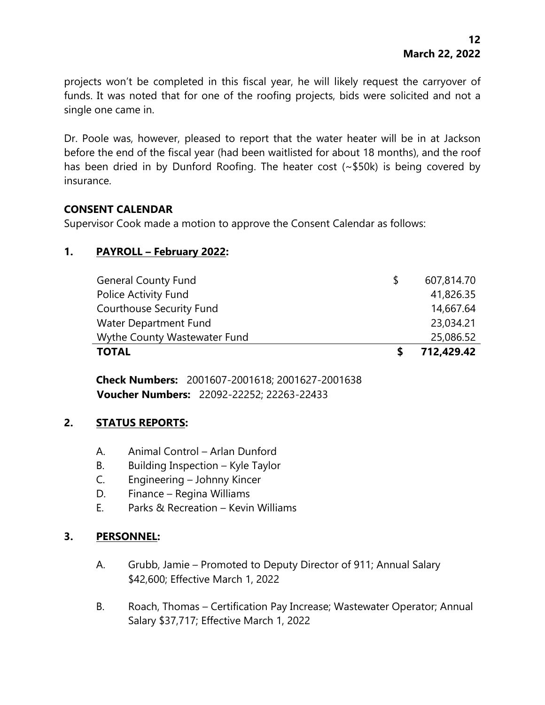projects won't be completed in this fiscal year, he will likely request the carryover of funds. It was noted that for one of the roofing projects, bids were solicited and not a single one came in.

Dr. Poole was, however, pleased to report that the water heater will be in at Jackson before the end of the fiscal year (had been waitlisted for about 18 months), and the roof has been dried in by Dunford Roofing. The heater cost (~\$50k) is being covered by insurance.

## **CONSENT CALENDAR**

Supervisor Cook made a motion to approve the Consent Calendar as follows:

# **1. PAYROLL – February 2022:**

| <b>TOTAL</b>                    |   | 712,429.42 |
|---------------------------------|---|------------|
| Wythe County Wastewater Fund    |   | 25,086.52  |
| Water Department Fund           |   | 23,034.21  |
| <b>Courthouse Security Fund</b> |   | 14,667.64  |
| Police Activity Fund            |   | 41,826.35  |
| <b>General County Fund</b>      | S | 607,814.70 |

**Check Numbers:** 2001607-2001618; 2001627-2001638 **Voucher Numbers:** 22092-22252; 22263-22433

### **2. STATUS REPORTS:**

- A. Animal Control Arlan Dunford
- B. Building Inspection Kyle Taylor
- C. Engineering Johnny Kincer
- D. Finance Regina Williams
- E. Parks & Recreation Kevin Williams

### **3. PERSONNEL:**

- A. Grubb, Jamie Promoted to Deputy Director of 911; Annual Salary \$42,600; Effective March 1, 2022
- B. Roach, Thomas Certification Pay Increase; Wastewater Operator; Annual Salary \$37,717; Effective March 1, 2022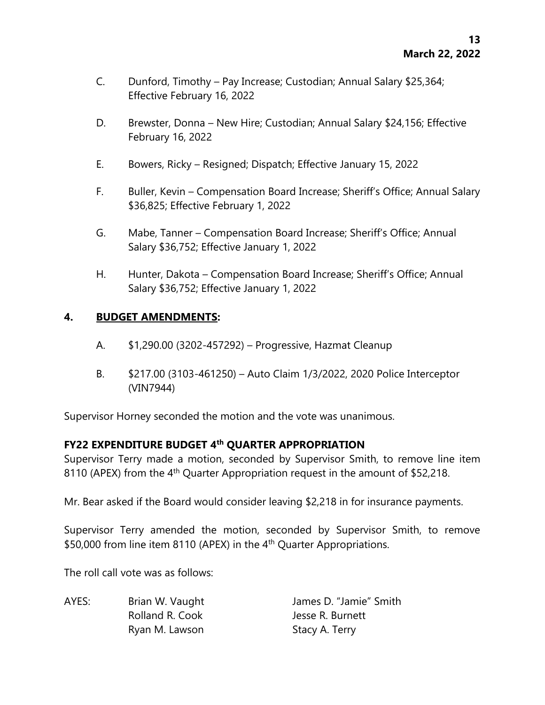- C. Dunford, Timothy Pay Increase; Custodian; Annual Salary \$25,364; Effective February 16, 2022
- D. Brewster, Donna New Hire; Custodian; Annual Salary \$24,156; Effective February 16, 2022
- E. Bowers, Ricky Resigned; Dispatch; Effective January 15, 2022
- F. Buller, Kevin Compensation Board Increase; Sheriff's Office; Annual Salary \$36,825; Effective February 1, 2022
- G. Mabe, Tanner Compensation Board Increase; Sheriff's Office; Annual Salary \$36,752; Effective January 1, 2022
- H. Hunter, Dakota Compensation Board Increase; Sheriff's Office; Annual Salary \$36,752; Effective January 1, 2022

# **4. BUDGET AMENDMENTS:**

- A. \$1,290.00 (3202-457292) Progressive, Hazmat Cleanup
- B. \$217.00 (3103-461250) Auto Claim 1/3/2022, 2020 Police Interceptor (VIN7944)

Supervisor Horney seconded the motion and the vote was unanimous.

# **FY22 EXPENDITURE BUDGET 4th QUARTER APPROPRIATION**

Supervisor Terry made a motion, seconded by Supervisor Smith, to remove line item 8110 (APEX) from the 4<sup>th</sup> Quarter Appropriation request in the amount of \$52,218.

Mr. Bear asked if the Board would consider leaving \$2,218 in for insurance payments.

Supervisor Terry amended the motion, seconded by Supervisor Smith, to remove \$50,000 from line item 8110 (APEX) in the 4<sup>th</sup> Quarter Appropriations.

The roll call vote was as follows:

AYES: Brian W. Vaught James D. "Jamie" Smith Rolland R. Cook Jesse R. Burnett Ryan M. Lawson Stacy A. Terry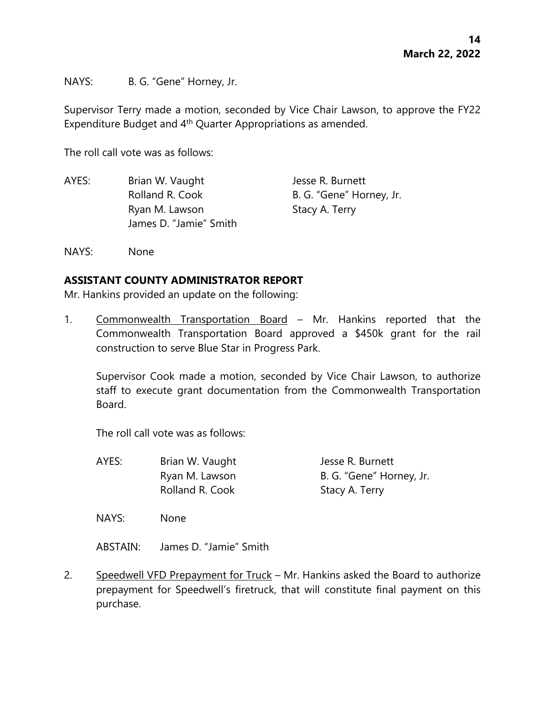NAYS: B. G. "Gene" Horney, Jr.

Supervisor Terry made a motion, seconded by Vice Chair Lawson, to approve the FY22 Expenditure Budget and 4<sup>th</sup> Quarter Appropriations as amended.

The roll call vote was as follows:

| AYES: | Brian W. Vaught        | Jesse R. Burnett         |
|-------|------------------------|--------------------------|
|       | Rolland R. Cook        | B. G. "Gene" Horney, Jr. |
|       | Ryan M. Lawson         | Stacy A. Terry           |
|       | James D. "Jamie" Smith |                          |

NAYS: None

## **ASSISTANT COUNTY ADMINISTRATOR REPORT**

Mr. Hankins provided an update on the following:

1. Commonwealth Transportation Board – Mr. Hankins reported that the Commonwealth Transportation Board approved a \$450k grant for the rail construction to serve Blue Star in Progress Park.

Supervisor Cook made a motion, seconded by Vice Chair Lawson, to authorize staff to execute grant documentation from the Commonwealth Transportation Board.

The roll call vote was as follows:

AYES: Brian W. Vaught Jesse R. Burnett Ryan M. Lawson B. G. "Gene" Horney, Jr. Rolland R. Cook Stacy A. Terry

NAYS: None

ABSTAIN: James D. "Jamie" Smith

2. Speedwell VFD Prepayment for Truck – Mr. Hankins asked the Board to authorize prepayment for Speedwell's firetruck, that will constitute final payment on this purchase.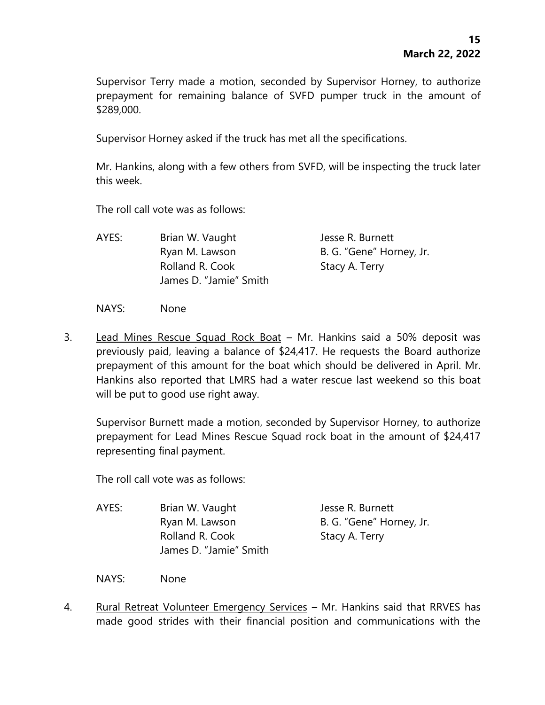Supervisor Terry made a motion, seconded by Supervisor Horney, to authorize prepayment for remaining balance of SVFD pumper truck in the amount of \$289,000.

Supervisor Horney asked if the truck has met all the specifications.

Mr. Hankins, along with a few others from SVFD, will be inspecting the truck later this week.

The roll call vote was as follows:

AYES: Brian W. Vaught Jesse R. Burnett Ryan M. Lawson B. G. "Gene" Horney, Jr. Rolland R. Cook Stacy A. Terry James D. "Jamie" Smith

NAYS: None

3. Lead Mines Rescue Squad Rock Boat – Mr. Hankins said a 50% deposit was previously paid, leaving a balance of \$24,417. He requests the Board authorize prepayment of this amount for the boat which should be delivered in April. Mr. Hankins also reported that LMRS had a water rescue last weekend so this boat will be put to good use right away.

Supervisor Burnett made a motion, seconded by Supervisor Horney, to authorize prepayment for Lead Mines Rescue Squad rock boat in the amount of \$24,417 representing final payment.

The roll call vote was as follows:

- AYES: Brian W. Vaught Jesse R. Burnett Ryan M. Lawson B. G. "Gene" Horney, Jr. Rolland R. Cook Stacy A. Terry James D. "Jamie" Smith
- NAYS: None
- 4. Rural Retreat Volunteer Emergency Services Mr. Hankins said that RRVES has made good strides with their financial position and communications with the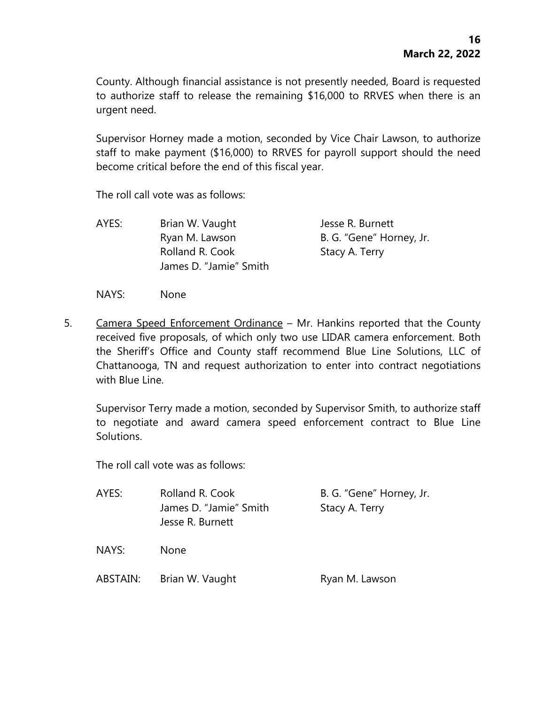County. Although financial assistance is not presently needed, Board is requested to authorize staff to release the remaining \$16,000 to RRVES when there is an urgent need.

Supervisor Horney made a motion, seconded by Vice Chair Lawson, to authorize staff to make payment (\$16,000) to RRVES for payroll support should the need become critical before the end of this fiscal year.

The roll call vote was as follows:

AYES: Brian W. Vaught Jesse R. Burnett Ryan M. Lawson B. G. "Gene" Horney, Jr. Rolland R. Cook Stacy A. Terry James D. "Jamie" Smith

NAYS: None

5. Camera Speed Enforcement Ordinance – Mr. Hankins reported that the County received five proposals, of which only two use LIDAR camera enforcement. Both the Sheriff's Office and County staff recommend Blue Line Solutions, LLC of Chattanooga, TN and request authorization to enter into contract negotiations with Blue Line.

Supervisor Terry made a motion, seconded by Supervisor Smith, to authorize staff to negotiate and award camera speed enforcement contract to Blue Line Solutions.

The roll call vote was as follows:

| AYES:    | Rolland R. Cook<br>James D. "Jamie" Smith<br>Jesse R. Burnett | B. G. "Gene" Horney, Jr.<br>Stacy A. Terry |
|----------|---------------------------------------------------------------|--------------------------------------------|
| NAYS:    | <b>None</b>                                                   |                                            |
| ABSTAIN: | Brian W. Vaught                                               | Ryan M. Lawson                             |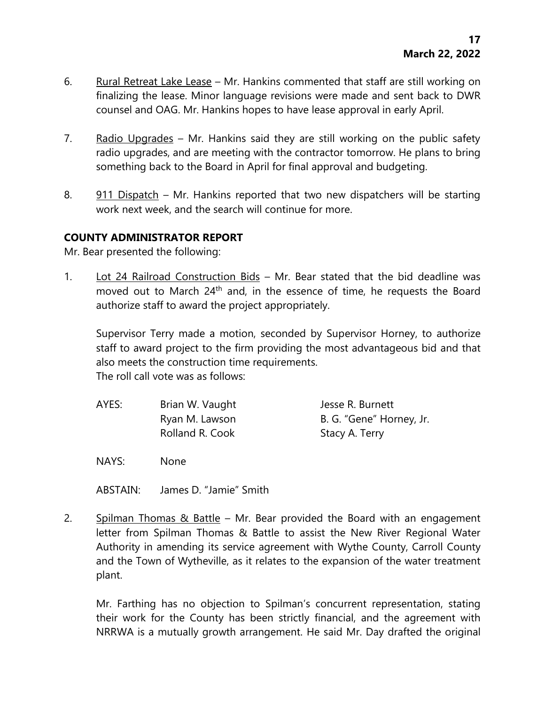- 6. Rural Retreat Lake Lease Mr. Hankins commented that staff are still working on finalizing the lease. Minor language revisions were made and sent back to DWR counsel and OAG. Mr. Hankins hopes to have lease approval in early April.
- 7. Radio Upgrades Mr. Hankins said they are still working on the public safety radio upgrades, and are meeting with the contractor tomorrow. He plans to bring something back to the Board in April for final approval and budgeting.
- 8. 911 Dispatch Mr. Hankins reported that two new dispatchers will be starting work next week, and the search will continue for more.

# **COUNTY ADMINISTRATOR REPORT**

Mr. Bear presented the following:

1. Lot 24 Railroad Construction Bids - Mr. Bear stated that the bid deadline was moved out to March 24<sup>th</sup> and, in the essence of time, he requests the Board authorize staff to award the project appropriately.

Supervisor Terry made a motion, seconded by Supervisor Horney, to authorize staff to award project to the firm providing the most advantageous bid and that also meets the construction time requirements. The roll call vote was as follows:

AYES: Brian W. Vaught Jesse R. Burnett Ryan M. Lawson B. G. "Gene" Horney, Jr. Rolland R. Cook Stacy A. Terry

NAYS: None

ABSTAIN: James D. "Jamie" Smith

2. Spilman Thomas & Battle – Mr. Bear provided the Board with an engagement letter from Spilman Thomas & Battle to assist the New River Regional Water Authority in amending its service agreement with Wythe County, Carroll County and the Town of Wytheville, as it relates to the expansion of the water treatment plant.

Mr. Farthing has no objection to Spilman's concurrent representation, stating their work for the County has been strictly financial, and the agreement with NRRWA is a mutually growth arrangement. He said Mr. Day drafted the original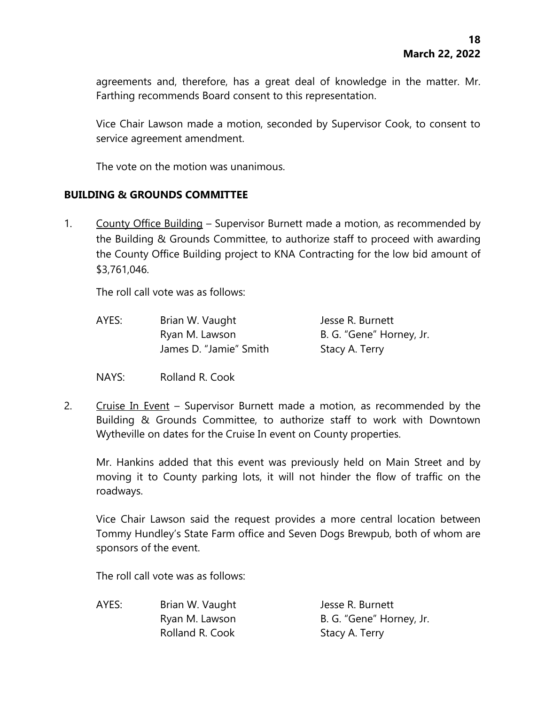agreements and, therefore, has a great deal of knowledge in the matter. Mr. Farthing recommends Board consent to this representation.

Vice Chair Lawson made a motion, seconded by Supervisor Cook, to consent to service agreement amendment.

The vote on the motion was unanimous.

## **BUILDING & GROUNDS COMMITTEE**

1. County Office Building – Supervisor Burnett made a motion, as recommended by the Building & Grounds Committee, to authorize staff to proceed with awarding the County Office Building project to KNA Contracting for the low bid amount of \$3,761,046.

The roll call vote was as follows:

- AYES: Brian W. Vaught Jesse R. Burnett Ryan M. Lawson B. G. "Gene" Horney, Jr. James D. "Jamie" Smith Stacy A. Terry
- NAYS: Rolland R. Cook
- 2. Cruise In Event Supervisor Burnett made a motion, as recommended by the Building & Grounds Committee, to authorize staff to work with Downtown Wytheville on dates for the Cruise In event on County properties.

Mr. Hankins added that this event was previously held on Main Street and by moving it to County parking lots, it will not hinder the flow of traffic on the roadways.

Vice Chair Lawson said the request provides a more central location between Tommy Hundley's State Farm office and Seven Dogs Brewpub, both of whom are sponsors of the event.

The roll call vote was as follows:

AYES: Brian W. Vaught Jesse R. Burnett Ryan M. Lawson B. G. "Gene" Horney, Jr. Rolland R. Cook Stacy A. Terry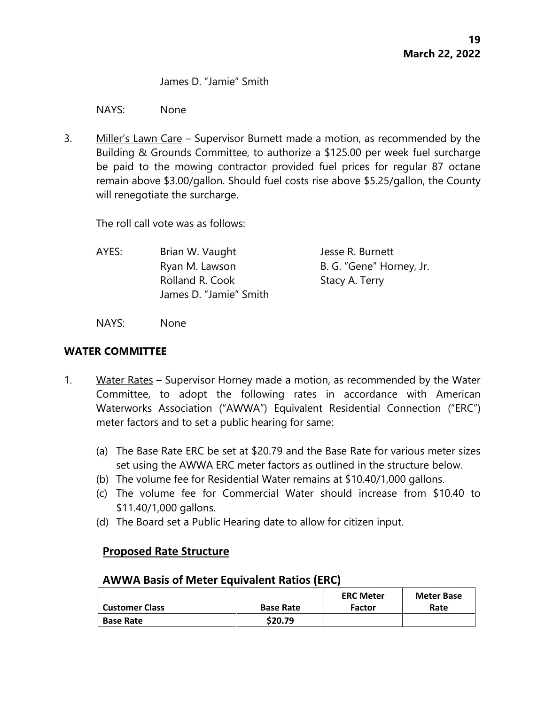James D. "Jamie" Smith

NAYS: None

3. Miller's Lawn Care – Supervisor Burnett made a motion, as recommended by the Building & Grounds Committee, to authorize a \$125.00 per week fuel surcharge be paid to the mowing contractor provided fuel prices for regular 87 octane remain above \$3.00/gallon. Should fuel costs rise above \$5.25/gallon, the County will renegotiate the surcharge.

The roll call vote was as follows:

AYES: Brian W. Vaught Jesse R. Burnett Ryan M. Lawson B. G. "Gene" Horney, Jr. Rolland R. Cook Stacy A. Terry James D. "Jamie" Smith

NAYS: None

## **WATER COMMITTEE**

- 1. Water Rates Supervisor Horney made a motion, as recommended by the Water Committee, to adopt the following rates in accordance with American Waterworks Association ("AWWA") Equivalent Residential Connection ("ERC") meter factors and to set a public hearing for same:
	- (a) The Base Rate ERC be set at \$20.79 and the Base Rate for various meter sizes set using the AWWA ERC meter factors as outlined in the structure below.
	- (b) The volume fee for Residential Water remains at \$10.40/1,000 gallons.
	- (c) The volume fee for Commercial Water should increase from \$10.40 to \$11.40/1,000 gallons.
	- (d) The Board set a Public Hearing date to allow for citizen input.

# **Proposed Rate Structure**

# **AWWA Basis of Meter Equivalent Ratios (ERC)**

|                       |                  | <b>ERC Meter</b> | <b>Meter Base</b> |
|-----------------------|------------------|------------------|-------------------|
| <b>Customer Class</b> | <b>Base Rate</b> | <b>Factor</b>    | Rate              |
| <b>Base Rate</b>      | \$20.79          |                  |                   |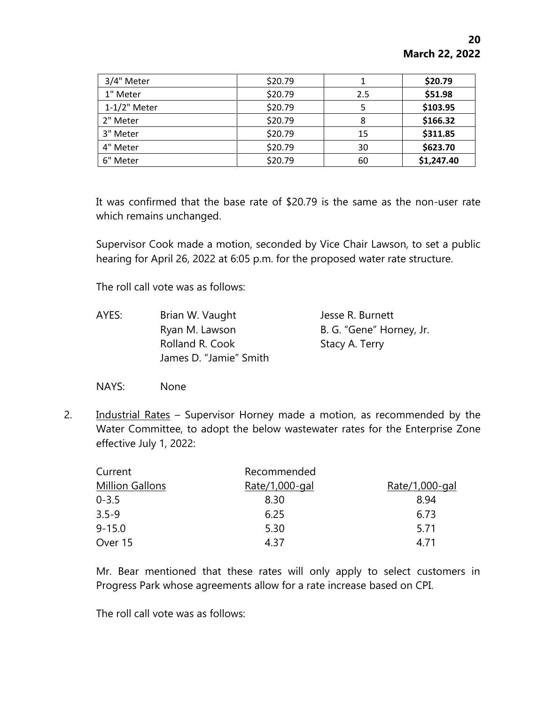| 3/4" Meter      | \$20.79 |     | \$20.79    |
|-----------------|---------|-----|------------|
| 1" Meter        | \$20.79 | 2.5 | \$51.98    |
| $1-1/2$ " Meter | \$20.79 | 5   | \$103.95   |
| 2" Meter        | \$20.79 | 8   | \$166.32   |
| 3" Meter        | \$20.79 | 15  | \$311.85   |
| 4" Meter        | \$20.79 | 30  | \$623.70   |
| 6" Meter        | \$20.79 | 60  | \$1,247.40 |

It was confirmed that the base rate of \$20.79 is the same as the non-user rate which remains unchanged.

Supervisor Cook made a motion, seconded by Vice Chair Lawson, to set a public hearing for April 26, 2022 at 6:05 p.m. for the proposed water rate structure.

The roll call vote was as follows:

- AYES: Brian W. Vaught Jesse R. Burnett Ryan M. Lawson B. G. "Gene" Horney, Jr. Rolland R. Cook Stacy A. Terry James D. "Jamie" Smith
- NAYS: None
- 2. Industrial Rates Supervisor Horney made a motion, as recommended by the Water Committee, to adopt the below wastewater rates for the Enterprise Zone effective July 1, 2022:

| Current                | Recommended    |                |
|------------------------|----------------|----------------|
| <b>Million Gallons</b> | Rate/1,000-gal | Rate/1,000-gal |
| $0 - 3.5$              | 8.30           | 8.94           |
| $3.5 - 9$              | 6.25           | 6.73           |
| $9 - 15.0$             | 5.30           | 5.71           |
| Over 15                | 4 37           | 4 71           |

Mr. Bear mentioned that these rates will only apply to select customers in Progress Park whose agreements allow for a rate increase based on CPI.

The roll call vote was as follows: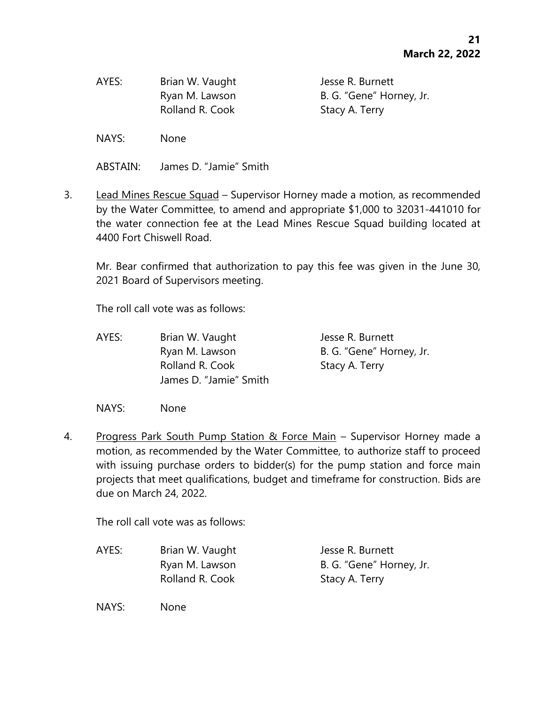| Brian W. Vaught | Jesse R. Burnett         |
|-----------------|--------------------------|
| Ryan M. Lawson  | B. G. "Gene" Horney, Jr. |
|                 | Stacy A. Terry           |
|                 | Rolland R. Cook          |

NAYS: None

ABSTAIN: James D. "Jamie" Smith

3. Lead Mines Rescue Squad – Supervisor Horney made a motion, as recommended by the Water Committee, to amend and appropriate \$1,000 to 32031-441010 for the water connection fee at the Lead Mines Rescue Squad building located at 4400 Fort Chiswell Road.

Mr. Bear confirmed that authorization to pay this fee was given in the June 30, 2021 Board of Supervisors meeting.

The roll call vote was as follows:

AYES: Brian W. Vaught Jesse R. Burnett Ryan M. Lawson B. G. "Gene" Horney, Jr. Rolland R. Cook Stacy A. Terry James D. "Jamie" Smith

NAYS: None

4. Progress Park South Pump Station & Force Main - Supervisor Horney made a motion, as recommended by the Water Committee, to authorize staff to proceed with issuing purchase orders to bidder(s) for the pump station and force main projects that meet qualifications, budget and timeframe for construction. Bids are due on March 24, 2022.

The roll call vote was as follows:

AYES: Brian W. Vaught Jesse R. Burnett Ryan M. Lawson B. G. "Gene" Horney, Jr. Rolland R. Cook Stacy A. Terry

NAYS: None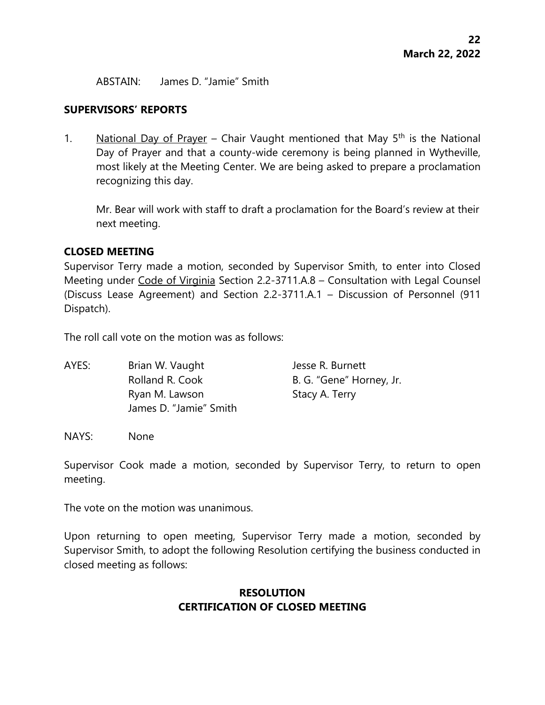ABSTAIN: James D. "Jamie" Smith

#### **SUPERVISORS' REPORTS**

1. National Day of Prayer – Chair Vaught mentioned that May  $5<sup>th</sup>$  is the National Day of Prayer and that a county-wide ceremony is being planned in Wytheville, most likely at the Meeting Center. We are being asked to prepare a proclamation recognizing this day.

Mr. Bear will work with staff to draft a proclamation for the Board's review at their next meeting.

### **CLOSED MEETING**

Supervisor Terry made a motion, seconded by Supervisor Smith, to enter into Closed Meeting under Code of Virginia Section 2.2-3711.A.8 – Consultation with Legal Counsel (Discuss Lease Agreement) and Section 2.2-3711.A.1 – Discussion of Personnel (911 Dispatch).

The roll call vote on the motion was as follows:

AYES: Brian W. Vaught Jesse R. Burnett Rolland R. Cook B. G. "Gene" Horney, Jr. Ryan M. Lawson Stacy A. Terry James D. "Jamie" Smith

NAYS: None

Supervisor Cook made a motion, seconded by Supervisor Terry, to return to open meeting.

The vote on the motion was unanimous.

Upon returning to open meeting, Supervisor Terry made a motion, seconded by Supervisor Smith, to adopt the following Resolution certifying the business conducted in closed meeting as follows:

## **RESOLUTION CERTIFICATION OF CLOSED MEETING**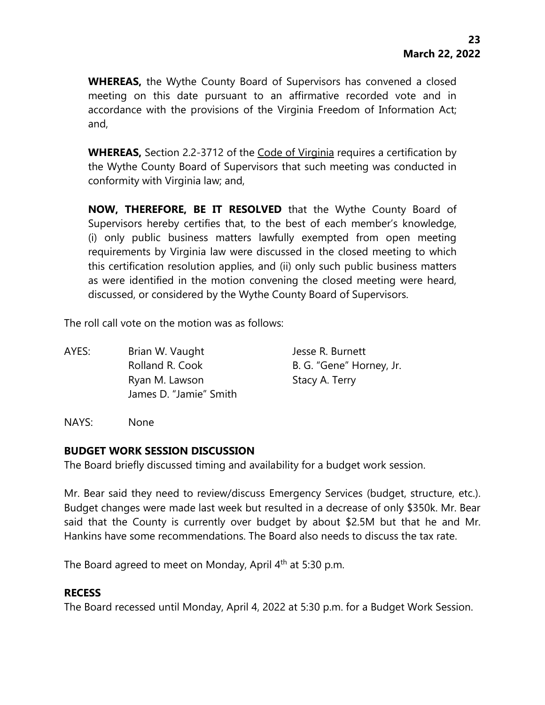**WHEREAS,** the Wythe County Board of Supervisors has convened a closed meeting on this date pursuant to an affirmative recorded vote and in accordance with the provisions of the Virginia Freedom of Information Act; and,

**WHEREAS,** Section 2.2-3712 of the Code of Virginia requires a certification by the Wythe County Board of Supervisors that such meeting was conducted in conformity with Virginia law; and,

**NOW, THEREFORE, BE IT RESOLVED** that the Wythe County Board of Supervisors hereby certifies that, to the best of each member's knowledge, (i) only public business matters lawfully exempted from open meeting requirements by Virginia law were discussed in the closed meeting to which this certification resolution applies, and (ii) only such public business matters as were identified in the motion convening the closed meeting were heard, discussed, or considered by the Wythe County Board of Supervisors.

The roll call vote on the motion was as follows:

AYES: Brian W. Vaught Jesse R. Burnett Rolland R. Cook B. G. "Gene" Horney, Jr. Ryan M. Lawson Stacy A. Terry James D. "Jamie" Smith

NAYS: None

# **BUDGET WORK SESSION DISCUSSION**

The Board briefly discussed timing and availability for a budget work session.

Mr. Bear said they need to review/discuss Emergency Services (budget, structure, etc.). Budget changes were made last week but resulted in a decrease of only \$350k. Mr. Bear said that the County is currently over budget by about \$2.5M but that he and Mr. Hankins have some recommendations. The Board also needs to discuss the tax rate.

The Board agreed to meet on Monday, April 4th at 5:30 p.m.

# **RECESS**

The Board recessed until Monday, April 4, 2022 at 5:30 p.m. for a Budget Work Session.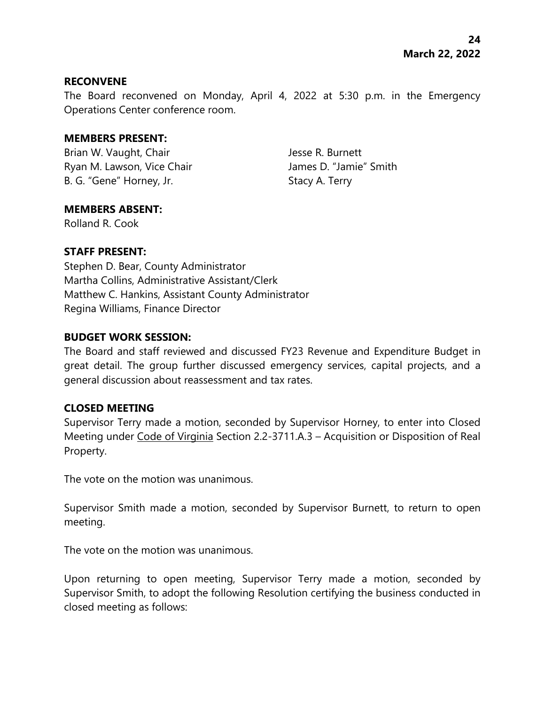#### **RECONVENE**

The Board reconvened on Monday, April 4, 2022 at 5:30 p.m. in the Emergency Operations Center conference room.

#### **MEMBERS PRESENT:**

Brian W. Vaught, Chair **Jesse R. Burnett** Ryan M. Lawson, Vice Chair **James D. "Jamie"** Smith B. G. "Gene" Horney, Jr. Stacy A. Terry

### **MEMBERS ABSENT:**

Rolland R. Cook

## **STAFF PRESENT:**

Stephen D. Bear, County Administrator Martha Collins, Administrative Assistant/Clerk Matthew C. Hankins, Assistant County Administrator Regina Williams, Finance Director

### **BUDGET WORK SESSION:**

The Board and staff reviewed and discussed FY23 Revenue and Expenditure Budget in great detail. The group further discussed emergency services, capital projects, and a general discussion about reassessment and tax rates.

### **CLOSED MEETING**

Supervisor Terry made a motion, seconded by Supervisor Horney, to enter into Closed Meeting under Code of Virginia Section 2.2-3711.A.3 – Acquisition or Disposition of Real Property.

The vote on the motion was unanimous.

Supervisor Smith made a motion, seconded by Supervisor Burnett, to return to open meeting.

The vote on the motion was unanimous.

Upon returning to open meeting, Supervisor Terry made a motion, seconded by Supervisor Smith, to adopt the following Resolution certifying the business conducted in closed meeting as follows: